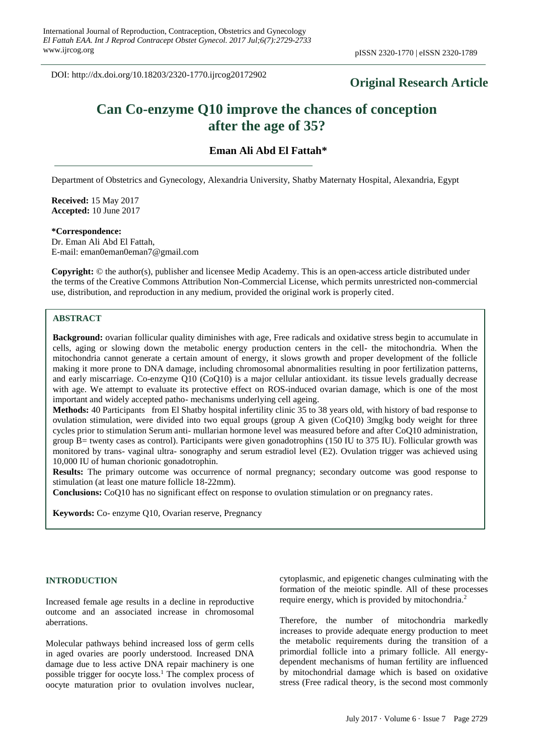DOI: http://dx.doi.org/10.18203/2320-1770.ijrcog20172902

## **Original Research Article**

# **Can Co-enzyme Q10 improve the chances of conception after the age of 35?**

### **Eman Ali Abd El Fattah\***

Department of Obstetrics and Gynecology, Alexandria University, Shatby Maternaty Hospital, Alexandria, Egypt

**Received:** 15 May 2017 **Accepted:** 10 June 2017

#### **\*Correspondence:**

Dr. Eman Ali Abd El Fattah, E-mail: eman0eman0eman7@gmail.com

**Copyright:** © the author(s), publisher and licensee Medip Academy. This is an open-access article distributed under the terms of the Creative Commons Attribution Non-Commercial License, which permits unrestricted non-commercial use, distribution, and reproduction in any medium, provided the original work is properly cited.

## **ABSTRACT**

**Background:** ovarian follicular quality diminishes with age, Free radicals and oxidative stress begin to accumulate in cells, aging or slowing down the metabolic energy production centers in the cell- the mitochondria. When the mitochondria cannot generate a certain amount of energy, it slows growth and proper development of the follicle making it more prone to DNA damage, including chromosomal abnormalities resulting in poor fertilization patterns, and early miscarriage. Co-enzyme Q10 (CoQ10) is a major cellular antioxidant. its tissue levels gradually decrease with age. We attempt to evaluate its protective effect on ROS-induced ovarian damage, which is one of the most important and widely accepted patho- mechanisms underlying cell ageing.

**Methods:** 40 Participants from El Shatby hospital infertility clinic 35 to 38 years old, with history of bad response to ovulation stimulation, were divided into two equal groups (group A given (CoO10) 3mg|kg body weight for three cycles prior to stimulation Serum anti- mullarian hormone level was measured before and after CoQ10 administration, group B= twenty cases as control). Participants were given gonadotrophins (150 IU to 375 IU). Follicular growth was monitored by trans- vaginal ultra- sonography and serum estradiol level (E2). Ovulation trigger was achieved using 10,000 IU of human chorionic gonadotrophin.

**Results:** The primary outcome was occurrence of normal pregnancy; secondary outcome was good response to stimulation (at least one mature follicle 18-22mm).

**Conclusions:** CoQ10 has no significant effect on response to ovulation stimulation or on pregnancy rates.

**Keywords:** Co- enzyme Q10, Ovarian reserve, Pregnancy

#### **INTRODUCTION**

Increased female age results in a decline in reproductive outcome and an associated increase in chromosomal aberrations.

Molecular pathways behind increased loss of germ cells in aged ovaries are poorly understood. Increased DNA damage due to less active DNA repair machinery is one possible trigger for oocyte loss.<sup>1</sup> The complex process of oocyte maturation prior to ovulation involves nuclear, cytoplasmic, and epigenetic changes culminating with the formation of the meiotic spindle. All of these processes require energy, which is provided by mitochondria.<sup>2</sup>

Therefore, the number of mitochondria markedly increases to provide adequate energy production to meet the metabolic requirements during the transition of a primordial follicle into a primary follicle. All energydependent mechanisms of human fertility are influenced by mitochondrial damage which is based on oxidative stress (Free radical theory, is the second most commonly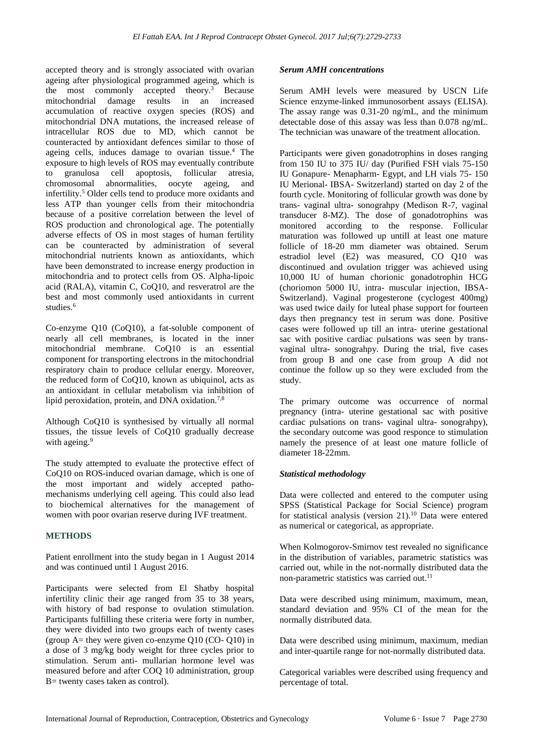accepted theory and is strongly associated with ovarian ageing after physiological programmed ageing, which is the most commonly accepted theory.<sup>3</sup> Because mitochondrial damage results in an increased accumulation of reactive oxygen species (ROS) and mitochondrial DNA mutations, the increased release of intracellular ROS due to MD, which cannot be counteracted by antioxidant defences similar to those of ageing cells, induces damage to ovarian tissue. <sup>4</sup> The exposure to high levels of ROS may eventually contribute to granulosa cell apoptosis, follicular atresia, chromosomal abnormalities, oocyte ageing, and infertility. <sup>5</sup> Older cells tend to produce more oxidants and less ATP than younger cells from their mitochondria because of a positive correlation between the level of ROS production and chronological age. The potentially adverse effects of OS in most stages of human fertility can be counteracted by administration of several mitochondrial nutrients known as antioxidants, which have been demonstrated to increase energy production in mitochondria and to protect cells from OS. Alpha-lipoic acid (RALA), vitamin C, CoQ10, and resveratrol are the best and most commonly used antioxidants in current studies.<sup>6</sup>

Co-enzyme Q10 (CoQ10), a fat-soluble component of nearly all cell membranes, is located in the inner mitochondrial membrane. CoQ10 is an essential component for transporting electrons in the mitochondrial respiratory chain to produce cellular energy. Moreover, the reduced form of CoQ10, known as ubiquinol, acts as an antioxidant in cellular metabolism via inhibition of lipid peroxidation, protein, and DNA oxidation.<sup>7,8</sup>

Although CoQ10 is synthesised by virtually all normal tissues, the tissue levels of CoQ10 gradually decrease with ageing.<sup>9</sup>

The study attempted to evaluate the protective effect of CoQ10 on ROS-induced ovarian damage, which is one of the most important and widely accepted pathomechanisms underlying cell ageing. This could also lead to biochemical alternatives for the management of women with poor ovarian reserve during IVF treatment.

#### **METHODS**

Patient enrollment into the study began in 1 August 2014 and was continued until 1 August 2016.

Participants were selected from El Shatby hospital infertility clinic their age ranged from 35 to 38 years, with history of bad response to ovulation stimulation. Participants fulfilling these criteria were forty in number, they were divided into two groups each of twenty cases (group  $A=$  they were given co-enzyme Q10 (CO- Q10) in a dose of 3 mg/kg body weight for three cycles prior to stimulation. Serum anti- mullarian hormone level was measured before and after COQ 10 administration, group B= twenty cases taken as control).

#### *Serum AMH concentrations*

Serum AMH levels were measured by USCN Life Science enzyme-linked immunosorbent assays (ELISA). The assay range was 0.31-20 ng/mL, and the minimum detectable dose of this assay was less than 0.078 ng/mL. The technician was unaware of the treatment allocation.

Participants were given gonadotrophins in doses ranging from 150 IU to 375 IU/ day (Purified FSH vials 75-150 IU Gonapure- Menapharm- Egypt, and LH vials 75- 150 IU Merional- IBSA- Switzerland) started on day 2 of the fourth cycle. Monitoring of follicular growth was done by trans- vaginal ultra- sonograhpy (Medison R-7, vaginal transducer 8-MZ). The dose of gonadotrophins was monitored according to the response. Follicular maturation was followed up untill at least one mature follicle of 18-20 mm diameter was obtained. Serum estradiol level (E2) was measured, CO Q10 was discontinued and ovulation trigger was achieved using 10,000 IU of human chorionic gonadotrophin HCG (choriomon 5000 IU, intra- muscular injection, IBSA-Switzerland). Vaginal progesterone (cyclogest 400mg) was used twice daily for luteal phase support for fourteen days then pregnancy test in serum was done. Positive cases were followed up till an intra- uterine gestational sac with positive cardiac pulsations was seen by transvaginal ultra- sonograhpy. During the trial, five cases from group B and one case from group A did not continue the follow up so they were excluded from the study.

The primary outcome was occurrence of normal pregnancy (intra- uterine gestational sac with positive cardiac pulsations on trans- vaginal ultra- sonograhpy), the secondary outcome was good responce to stimulation namely the presence of at least one mature follicle of diameter 18-22mm.

#### *Statistical methodology*

Data were collected and entered to the computer using SPSS (Statistical Package for Social Science) program for statistical analysis (version 21).<sup>10</sup> Data were entered as numerical or categorical, as appropriate.

When Kolmogorov-Smirnov test revealed no significance in the distribution of variables, parametric statistics was carried out, while in the not-normally distributed data the non-parametric statistics was carried out.<sup>11</sup>

Data were described using minimum, maximum, mean, standard deviation and 95% CI of the mean for the normally distributed data.

Data were described using minimum, maximum, median and inter-quartile range for not-normally distributed data.

Categorical variables were described using frequency and percentage of total.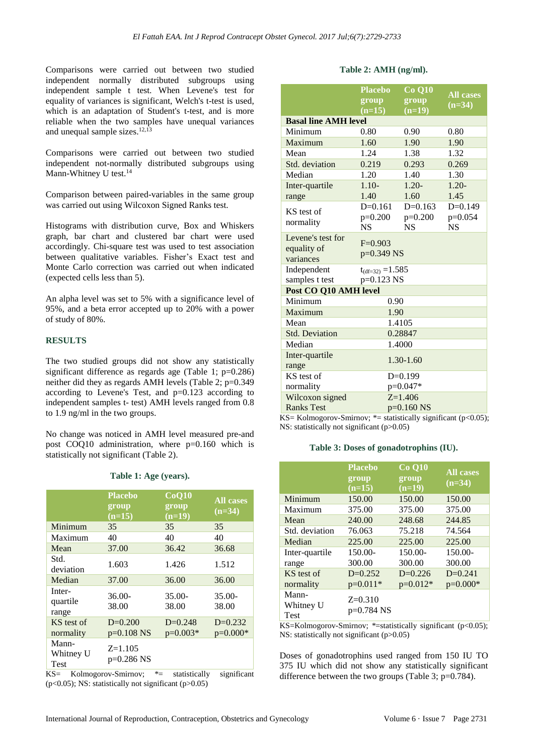Comparisons were carried out between two studied independent normally distributed subgroups using independent sample t test. When Levene's test for equality of variances is significant, Welch's t-test is used, which is an adaptation of Student's t-test, and is more reliable when the two samples have unequal variances and unequal sample sizes. $12,13$ 

Comparisons were carried out between two studied independent not-normally distributed subgroups using Mann-Whitney U test.<sup>14</sup>

Comparison between paired-variables in the same group was carried out using Wilcoxon Signed Ranks test.

Histograms with distribution curve, Box and Whiskers graph, bar chart and clustered bar chart were used accordingly. Chi-square test was used to test association between qualitative variables. Fisher's Exact test and Monte Carlo correction was carried out when indicated (expected cells less than 5).

An alpha level was set to 5% with a significance level of 95%, and a beta error accepted up to 20% with a power of study of 80%.

#### **RESULTS**

The two studied groups did not show any statistically significant difference as regards age (Table 1;  $p=0.286$ ) neither did they as regards AMH levels (Table 2; p=0.349 according to Levene's Test, and p=0.123 according to independent samples t- test) AMH levels ranged from 0.8 to 1.9 ng/ml in the two groups.

No change was noticed in AMH level measured pre-and post COQ10 administration, where p=0.160 which is statistically not significant (Table 2).

|                                   | <b>Placebo</b><br>group<br>$(n=15)$ | CoQ10<br>group<br>$(n=19)$ | <b>All cases</b><br>$(n=34)$ |
|-----------------------------------|-------------------------------------|----------------------------|------------------------------|
| Minimum                           | 35                                  | 35                         | 35                           |
| Maximum                           | 40                                  | 40                         | 40                           |
| Mean                              | 37.00                               | 36.42                      | 36.68                        |
| Std.<br>deviation                 | 1.603                               | 1.426                      | 1.512                        |
| Median                            | 37.00                               | 36.00                      | 36.00                        |
| Inter-<br>quartile<br>range       | $36.00-$<br>38.00                   | $35.00 -$<br>38.00         | $35.00-$<br>38.00            |
| KS test of<br>normality           | $D=0.200$<br>$p=0.108$ NS           | $D=0.248$<br>$p=0.003*$    | $D=0.232$<br>$p=0.000*$      |
| Mann-<br>Whitney U<br><b>Test</b> | $Z=1.105$<br>$p=0.286$ NS           |                            |                              |

## **Table 1: Age (years).**

KS= Kolmogorov-Smirnov; \*= statistically significant ( $p<0.05$ ); NS: statistically not significant ( $p>0.05$ )

#### **Table 2: AMH (ng/ml).**

|                                 | <b>Placebo</b><br>group<br>$(n=15)$ | <b>Co Q10</b><br>group<br>$(n=19)$ | <b>All cases</b><br>$(n=34)$ |
|---------------------------------|-------------------------------------|------------------------------------|------------------------------|
| <b>Basal line AMH level</b>     |                                     |                                    |                              |
| Minimum                         | 0.80                                | 0.90                               | 0.80                         |
| Maximum                         | 1.60                                | 1.90                               | 1.90                         |
| Mean                            | 1.24                                | 1.38                               | 1.32                         |
| Std. deviation                  | 0.219                               | 0.293                              | 0.269                        |
| Median                          | 1.20                                | 1.40                               | 1.30                         |
| Inter-quartile                  | $1.10-$                             | $1.20 -$                           | $1.20 -$                     |
| range                           | 1.40                                | 1.60                               | 1.45                         |
| KS test of                      | $D=0.161$                           | $D=0.163$                          | $D=0.149$                    |
| normality                       | $p=0.200$                           | $p=0.200$                          | $p=0.054$                    |
|                                 | <b>NS</b>                           | <b>NS</b>                          | <b>NS</b>                    |
| Levene's test for               | $F=0.903$                           |                                    |                              |
| equality of                     | $p=0.349$ NS                        |                                    |                              |
| variances                       |                                     |                                    |                              |
| Independent                     | $t_{(df=32)} = 1.585$               |                                    |                              |
| samples t test                  | p=0.123 NS                          |                                    |                              |
| Post CO Q10 AMH level           |                                     |                                    |                              |
| Minimum                         | 0.90                                |                                    |                              |
| Maximum                         | 1.90                                |                                    |                              |
| Mean                            | 1.4105                              |                                    |                              |
| <b>Std. Deviation</b>           | 0.28847                             |                                    |                              |
| Median                          | 1.4000                              |                                    |                              |
| Inter-quartile<br>$1.30 - 1.60$ |                                     |                                    |                              |
| range                           |                                     |                                    |                              |
| KS test of                      | $D=0.199$                           |                                    |                              |
| normality                       | $p=0.047*$                          |                                    |                              |
| Wilcoxon signed                 | $Z = 1.406$                         |                                    |                              |
| <b>Ranks Test</b>               | $p=0.160$ NS                        |                                    |                              |

KS= Kolmogorov-Smirnov;  $*$ = statistically significant (p<0.05); NS: statistically not significant (p>0.05)

#### **Table 3: Doses of gonadotrophins (IU).**

|                                   | <b>Placebo</b><br>group<br>$(n=15)$ | <b>Co Q10</b><br>group<br>$(n=19)$ | <b>All cases</b><br>$(n=34)$ |
|-----------------------------------|-------------------------------------|------------------------------------|------------------------------|
| Minimum                           | 150.00                              | 150.00                             | 150.00                       |
| Maximum                           | 375.00                              | 375.00                             | 375.00                       |
| Mean                              | 240.00                              | 248.68                             | 244.85                       |
| Std. deviation                    | 76.063                              | 75.218                             | 74.564                       |
| Median                            | 225.00                              | 225.00                             | 225.00                       |
| Inter-quartile                    | 150.00-                             | $150.00-$                          | 150.00-                      |
| range                             | 300.00                              | 300.00                             | 300.00                       |
| KS test of                        | $D=0.252$                           | $D=0.226$                          | $D=0.241$                    |
| normality                         | $p=0.011*$                          | $p=0.012*$                         | $p=0.000*$                   |
| Mann-<br>Whitney U<br><b>Test</b> | $Z=0.310$<br>$p=0.784$ NS           |                                    |                              |

KS=Kolmogorov-Smirnov; \*=statistically significant (p<0.05); NS: statistically not significant (p>0.05)

Doses of gonadotrophins used ranged from 150 IU TO 375 IU which did not show any statistically significant difference between the two groups (Table 3; p=0.784).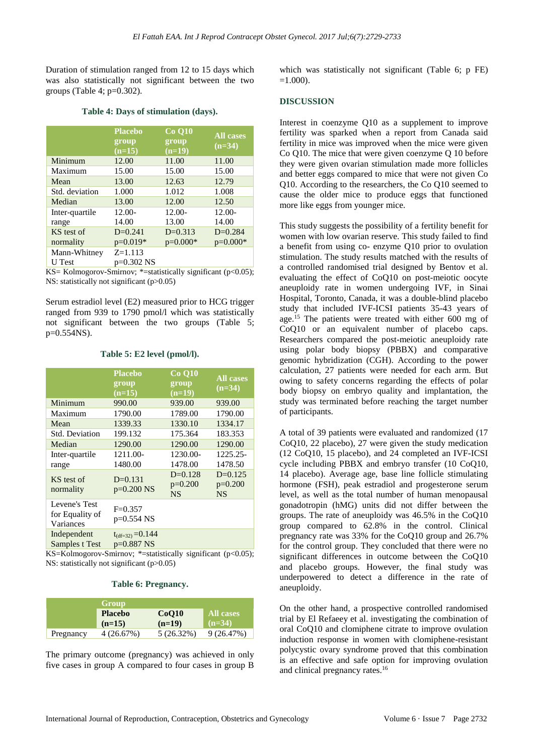Duration of stimulation ranged from 12 to 15 days which was also statistically not significant between the two groups (Table 4;  $p=0.302$ ).

#### **Table 4: Days of stimulation (days).**

|                               | <b>Placebo</b><br>group<br>$(n=15)$ | <b>Co Q10</b><br>group<br>$(n=19)$ | <b>All cases</b><br>$(n=34)$ |
|-------------------------------|-------------------------------------|------------------------------------|------------------------------|
| Minimum                       | 12.00                               | 11.00                              | 11.00                        |
| Maximum                       | 15.00                               | 15.00                              | 15.00                        |
| Mean                          | 13.00                               | 12.63                              | 12.79                        |
| Std. deviation                | 1.000                               | 1.012                              | 1.008                        |
| Median                        | 13.00                               | 12.00                              | 12.50                        |
| Inter-quartile                | $12.00 -$                           | $12.00 -$                          | 12.00-                       |
| range                         | 14.00                               | 13.00                              | 14.00                        |
| KS test of                    | $D=0.241$                           | $D=0.313$                          | $D=0.284$                    |
| normality                     | $p=0.019*$                          | $p=0.000*$                         | $p=0.000*$                   |
| Mann-Whitney<br><b>U</b> Test | $Z = 1.113$<br>p=0.302 NS           |                                    |                              |
|                               |                                     |                                    |                              |

KS= Kolmogorov-Smirnov;  $*$ =statistically significant (p<0.05); NS: statistically not significant (p>0.05)

Serum estradiol level (E2) measured prior to HCG trigger ranged from 939 to 1790 pmol/l which was statistically not significant between the two groups (Table 5; p=0.554NS).

#### **Table 5: E2 level (pmol/l).**

|                                               | <b>Placebo</b><br>group<br>$(n=15)$   | <b>Co O10</b><br>group<br>$(n=19)$  | <b>All cases</b><br>$(n=34)$        |
|-----------------------------------------------|---------------------------------------|-------------------------------------|-------------------------------------|
| Minimum                                       | 990.00                                | 939.00                              | 939.00                              |
| Maximum                                       | 1790.00                               | 1789.00                             | 1790.00                             |
| Mean                                          | 1339.33                               | 1330.10                             | 1334.17                             |
| <b>Std. Deviation</b>                         | 199.132                               | 175.364                             | 183.353                             |
| Median                                        | 1290.00                               | 1290.00                             | 1290.00                             |
| Inter-quartile                                | 1211.00-                              | 1230.00-                            | 1225.25-                            |
| range                                         | 1480.00                               | 1478.00                             | 1478.50                             |
| KS test of<br>normality                       | $D=0.131$<br>$p=0.200$ NS             | $D=0.128$<br>$p=0.200$<br><b>NS</b> | $D=0.125$<br>$p=0.200$<br><b>NS</b> |
| Levene's Test<br>for Equality of<br>Variances | $F=0.357$<br>p=0.554 NS               |                                     |                                     |
| Independent<br>Samples t Test                 | $t_{(df=32)} = 0.144$<br>$p=0.887$ NS |                                     |                                     |

KS=Kolmogorov-Smirnov; \*=statistically significant (p<0.05); NS: statistically not significant (p>0.05)

#### **Table 6: Pregnancy.**

|           | Group          |              |           |
|-----------|----------------|--------------|-----------|
|           | <b>Placebo</b> | CoO10        | All cases |
|           | $(n=15)$       | $(n=19)$     | $(n=34)$  |
| Pregnancy | 4(26.67%)      | $5(26.32\%)$ | 9(26.47%) |

The primary outcome (pregnancy) was achieved in only five cases in group A compared to four cases in group B

which was statistically not significant (Table 6; p FE)  $=1.000$ ).

#### **DISCUSSION**

Interest in coenzyme Q10 as a supplement to improve fertility was sparked when a report from Canada said fertility in mice was improved when the mice were given Co Q10. The mice that were given coenzyme Q 10 before they were given ovarian stimulation made more follicles and better eggs compared to mice that were not given Co Q10. According to the researchers, the Co Q10 seemed to cause the older mice to produce eggs that functioned more like eggs from younger mice.

This study suggests the possibility of a fertility benefit for women with low ovarian reserve. This study failed to find a benefit from using co- enzyme Q10 prior to ovulation stimulation. The study results matched with the results of a controlled randomised trial designed by Bentov et al. evaluating the effect of CoQ10 on post-meiotic oocyte aneuploidy rate in women undergoing IVF, in Sinai Hospital, Toronto, Canada, it was a double-blind placebo study that included IVF-ICSI patients 35-43 years of age.<sup>15</sup> The patients were treated with either 600 mg of CoQ10 or an equivalent number of placebo caps. Researchers compared the post-meiotic aneuploidy rate using polar body biopsy (PBBX) and comparative genomic hybridization (CGH). According to the power calculation, 27 patients were needed for each arm. But owing to safety concerns regarding the effects of polar body biopsy on embryo quality and implantation, the study was terminated before reaching the target number of participants.

A total of 39 patients were evaluated and randomized (17 CoQ10, 22 placebo), 27 were given the study medication (12 CoQ10, 15 placebo), and 24 completed an IVF-ICSI cycle including PBBX and embryo transfer (10 CoQ10, 14 placebo). Average age, base line follicle stimulating hormone (FSH), peak estradiol and progesterone serum level, as well as the total number of human menopausal gonadotropin (hMG) units did not differ between the groups. The rate of aneuploidy was 46.5% in the CoQ10 group compared to 62.8% in the control. Clinical pregnancy rate was 33% for the CoQ10 group and 26.7% for the control group. They concluded that there were no significant differences in outcome between the CoQ10 and placebo groups. However, the final study was underpowered to detect a difference in the rate of aneuploidy.

On the other hand, a prospective controlled randomised trial by El Refaeey et al. investigating the combination of oral CoQ10 and clomiphene citrate to improve ovulation induction response in women with clomiphene-resistant polycystic ovary syndrome proved that this combination is an effective and safe option for improving ovulation and clinical pregnancy rates.<sup>16</sup>